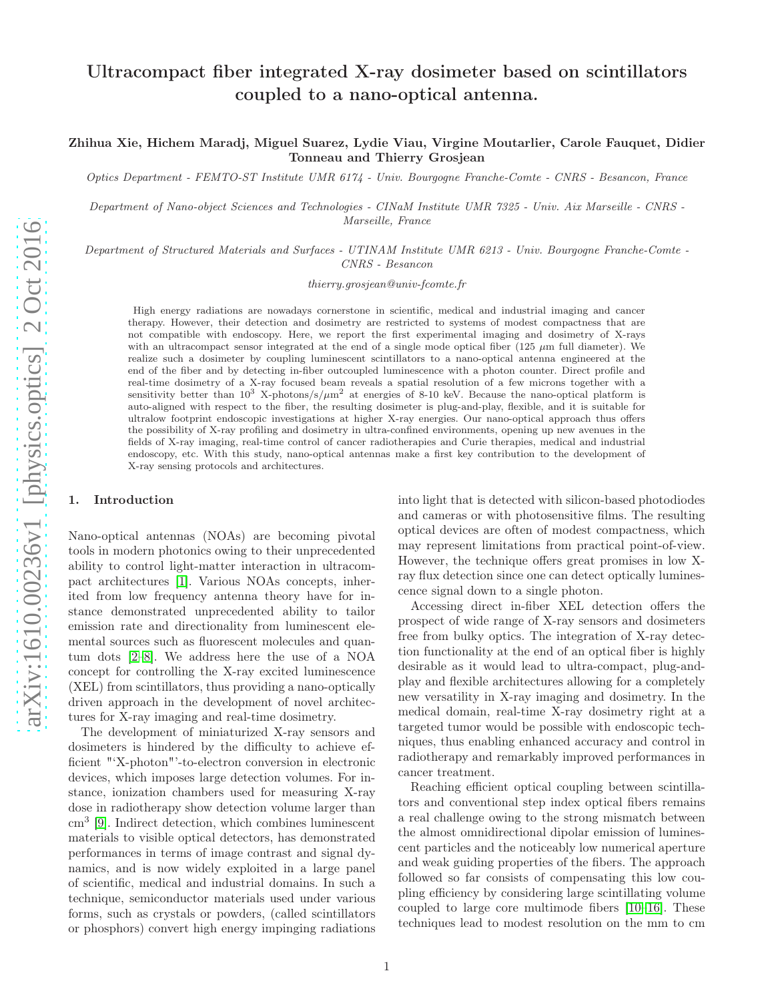# Ultracompact fiber integrated X-ray dosimeter based on scintillators coupled to a nano-optical antenna.

Zhihua Xie, Hichem Maradj, Miguel Suarez, Lydie Viau, Virgine Moutarlier, Carole Fauquet, Didier Tonneau and Thierry Grosjean

Optics Department - FEMTO-ST Institute UMR 6174 - Univ. Bourgogne Franche-Comte - CNRS - Besancon, France

Department of Nano-object Sciences and Technologies - CINaM Institute UMR 7325 - Univ. Aix Marseille - CNRS - Marseille, France

Department of Structured Materials and Surfaces - UTINAM Institute UMR 6213 - Univ. Bourgogne Franche-Comte - CNRS - Besancon

thierry.grosjean@univ-fcomte.fr

High energy radiations are nowadays cornerstone in scientific, medical and industrial imaging and cancer therapy. However, their detection and dosimetry are restricted to systems of modest compactness that are not compatible with endoscopy. Here, we report the first experimental imaging and dosimetry of X-rays with an ultracompact sensor integrated at the end of a single mode optical fiber (125  $\mu$ m full diameter). We realize such a dosimeter by coupling luminescent scintillators to a nano-optical antenna engineered at the end of the fiber and by detecting in-fiber outcoupled luminescence with a photon counter. Direct profile and real-time dosimetry of a X-ray focused beam reveals a spatial resolution of a few microns together with a sensitivity better than  $10^3$  X-photons/s/ $\mu$ m<sup>2</sup> at energies of 8-10 keV. Because the nano-optical platform is auto-aligned with respect to the fiber, the resulting dosimeter is plug-and-play, flexible, and it is suitable for ultralow footprint endoscopic investigations at higher X-ray energies. Our nano-optical approach thus offers the possibility of X-ray profiling and dosimetry in ultra-confined environments, opening up new avenues in the fields of X-ray imaging, real-time control of cancer radiotherapies and Curie therapies, medical and industrial endoscopy, etc. With this study, nano-optical antennas make a first key contribution to the development of X-ray sensing protocols and architectures.

## 1. Introduction

Nano-optical antennas (NOAs) are becoming pivotal tools in modern photonics owing to their unprecedented ability to control light-matter interaction in ultracompact architectures [\[1\]](#page-3-0). Various NOAs concepts, inherited from low frequency antenna theory have for instance demonstrated unprecedented ability to tailor emission rate and directionality from luminescent elemental sources such as fluorescent molecules and quantum dots [\[2](#page-3-1)[–8\]](#page-4-0). We address here the use of a NOA concept for controlling the X-ray excited luminescence (XEL) from scintillators, thus providing a nano-optically driven approach in the development of novel architectures for X-ray imaging and real-time dosimetry.

The development of miniaturized X-ray sensors and dosimeters is hindered by the difficulty to achieve efficient "'X-photon"'-to-electron conversion in electronic devices, which imposes large detection volumes. For instance, ionization chambers used for measuring X-ray dose in radiotherapy show detection volume larger than cm<sup>3</sup> [\[9\]](#page-4-1). Indirect detection, which combines luminescent materials to visible optical detectors, has demonstrated performances in terms of image contrast and signal dynamics, and is now widely exploited in a large panel of scientific, medical and industrial domains. In such a technique, semiconductor materials used under various forms, such as crystals or powders, (called scintillators or phosphors) convert high energy impinging radiations into light that is detected with silicon-based photodiodes and cameras or with photosensitive films. The resulting optical devices are often of modest compactness, which may represent limitations from practical point-of-view. However, the technique offers great promises in low Xray flux detection since one can detect optically luminescence signal down to a single photon.

Accessing direct in-fiber XEL detection offers the prospect of wide range of X-ray sensors and dosimeters free from bulky optics. The integration of X-ray detection functionality at the end of an optical fiber is highly desirable as it would lead to ultra-compact, plug-andplay and flexible architectures allowing for a completely new versatility in X-ray imaging and dosimetry. In the medical domain, real-time X-ray dosimetry right at a targeted tumor would be possible with endoscopic techniques, thus enabling enhanced accuracy and control in radiotherapy and remarkably improved performances in cancer treatment.

Reaching efficient optical coupling between scintillators and conventional step index optical fibers remains a real challenge owing to the strong mismatch between the almost omnidirectional dipolar emission of luminescent particles and the noticeably low numerical aperture and weak guiding properties of the fibers. The approach followed so far consists of compensating this low coupling efficiency by considering large scintillating volume coupled to large core multimode fibers [\[10](#page-4-2)[–16\]](#page-4-3). These techniques lead to modest resolution on the mm to cm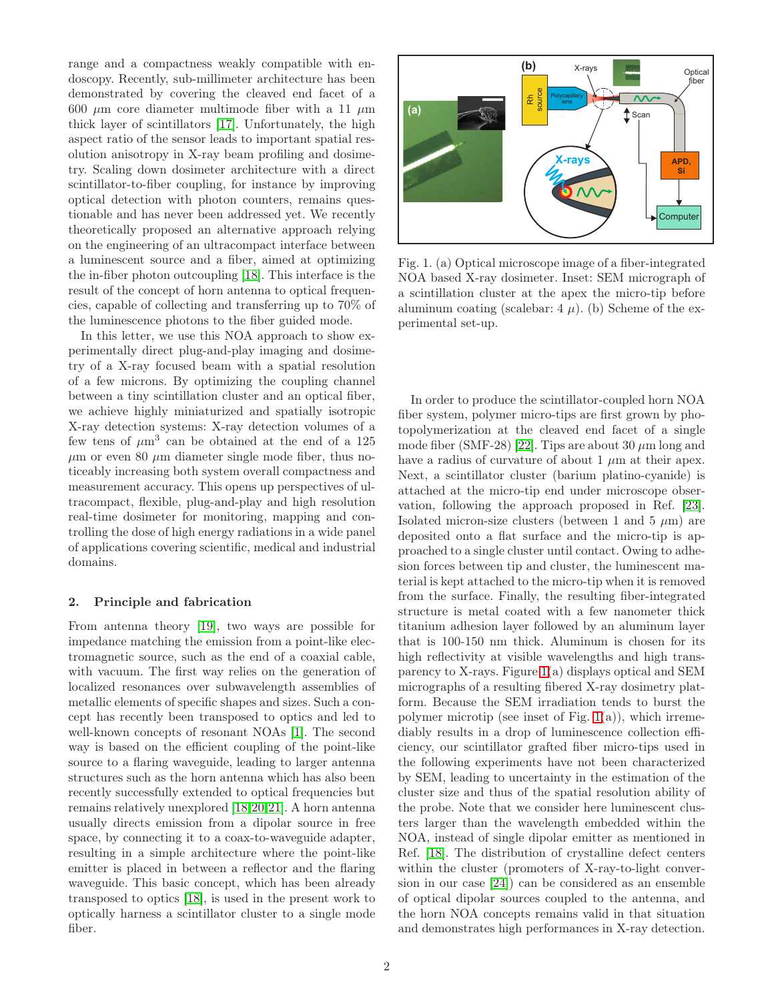range and a compactness weakly compatible with endoscopy. Recently, sub-millimeter architecture has been demonstrated by covering the cleaved end facet of a 600  $\mu$ m core diameter multimode fiber with a 11  $\mu$ m thick layer of scintillators [\[17\]](#page-4-4). Unfortunately, the high aspect ratio of the sensor leads to important spatial resolution anisotropy in X-ray beam profiling and dosimetry. Scaling down dosimeter architecture with a direct scintillator-to-fiber coupling, for instance by improving optical detection with photon counters, remains questionable and has never been addressed yet. We recently theoretically proposed an alternative approach relying on the engineering of an ultracompact interface between a luminescent source and a fiber, aimed at optimizing the in-fiber photon outcoupling [\[18\]](#page-4-5). This interface is the result of the concept of horn antenna to optical frequencies, capable of collecting and transferring up to 70% of the luminescence photons to the fiber guided mode.

In this letter, we use this NOA approach to show experimentally direct plug-and-play imaging and dosimetry of a X-ray focused beam with a spatial resolution of a few microns. By optimizing the coupling channel between a tiny scintillation cluster and an optical fiber, we achieve highly miniaturized and spatially isotropic X-ray detection systems: X-ray detection volumes of a few tens of  $\mu$ m<sup>3</sup> can be obtained at the end of a 125  $\mu$ m or even 80  $\mu$ m diameter single mode fiber, thus noticeably increasing both system overall compactness and measurement accuracy. This opens up perspectives of ultracompact, flexible, plug-and-play and high resolution real-time dosimeter for monitoring, mapping and controlling the dose of high energy radiations in a wide panel of applications covering scientific, medical and industrial domains.

### 2. Principle and fabrication

From antenna theory [\[19\]](#page-4-6), two ways are possible for impedance matching the emission from a point-like electromagnetic source, such as the end of a coaxial cable, with vacuum. The first way relies on the generation of localized resonances over subwavelength assemblies of metallic elements of specific shapes and sizes. Such a concept has recently been transposed to optics and led to well-known concepts of resonant NOAs [\[1\]](#page-3-0). The second way is based on the efficient coupling of the point-like source to a flaring waveguide, leading to larger antenna structures such as the horn antenna which has also been recently successfully extended to optical frequencies but remains relatively unexplored [\[18,](#page-4-5)[20,](#page-4-7)[21\]](#page-4-8). A horn antenna usually directs emission from a dipolar source in free space, by connecting it to a coax-to-waveguide adapter, resulting in a simple architecture where the point-like emitter is placed in between a reflector and the flaring waveguide. This basic concept, which has been already transposed to optics [\[18\]](#page-4-5), is used in the present work to optically harness a scintillator cluster to a single mode fiber.



<span id="page-1-0"></span>Fig. 1. (a) Optical microscope image of a fiber-integrated NOA based X-ray dosimeter. Inset: SEM micrograph of a scintillation cluster at the apex the micro-tip before aluminum coating (scalebar:  $4 \mu$ ). (b) Scheme of the experimental set-up.

In order to produce the scintillator-coupled horn NOA fiber system, polymer micro-tips are first grown by photopolymerization at the cleaved end facet of a single mode fiber (SMF-28) [\[22\]](#page-4-9). Tips are about 30  $\mu$ m long and have a radius of curvature of about 1  $\mu$ m at their apex. Next, a scintillator cluster (barium platino-cyanide) is attached at the micro-tip end under microscope observation, following the approach proposed in Ref. [\[23\]](#page-4-10). Isolated micron-size clusters (between 1 and 5  $\mu$ m) are deposited onto a flat surface and the micro-tip is approached to a single cluster until contact. Owing to adhesion forces between tip and cluster, the luminescent material is kept attached to the micro-tip when it is removed from the surface. Finally, the resulting fiber-integrated structure is metal coated with a few nanometer thick titanium adhesion layer followed by an aluminum layer that is 100-150 nm thick. Aluminum is chosen for its high reflectivity at visible wavelengths and high transparency to X-rays. Figure [1\(](#page-1-0)a) displays optical and SEM micrographs of a resulting fibered X-ray dosimetry platform. Because the SEM irradiation tends to burst the polymer microtip (see inset of Fig. [1\(](#page-1-0)a)), which irremediably results in a drop of luminescence collection efficiency, our scintillator grafted fiber micro-tips used in the following experiments have not been characterized by SEM, leading to uncertainty in the estimation of the cluster size and thus of the spatial resolution ability of the probe. Note that we consider here luminescent clusters larger than the wavelength embedded within the NOA, instead of single dipolar emitter as mentioned in Ref. [\[18\]](#page-4-5). The distribution of crystalline defect centers within the cluster (promoters of X-ray-to-light conversion in our case [\[24\]](#page-4-11)) can be considered as an ensemble of optical dipolar sources coupled to the antenna, and the horn NOA concepts remains valid in that situation and demonstrates high performances in X-ray detection.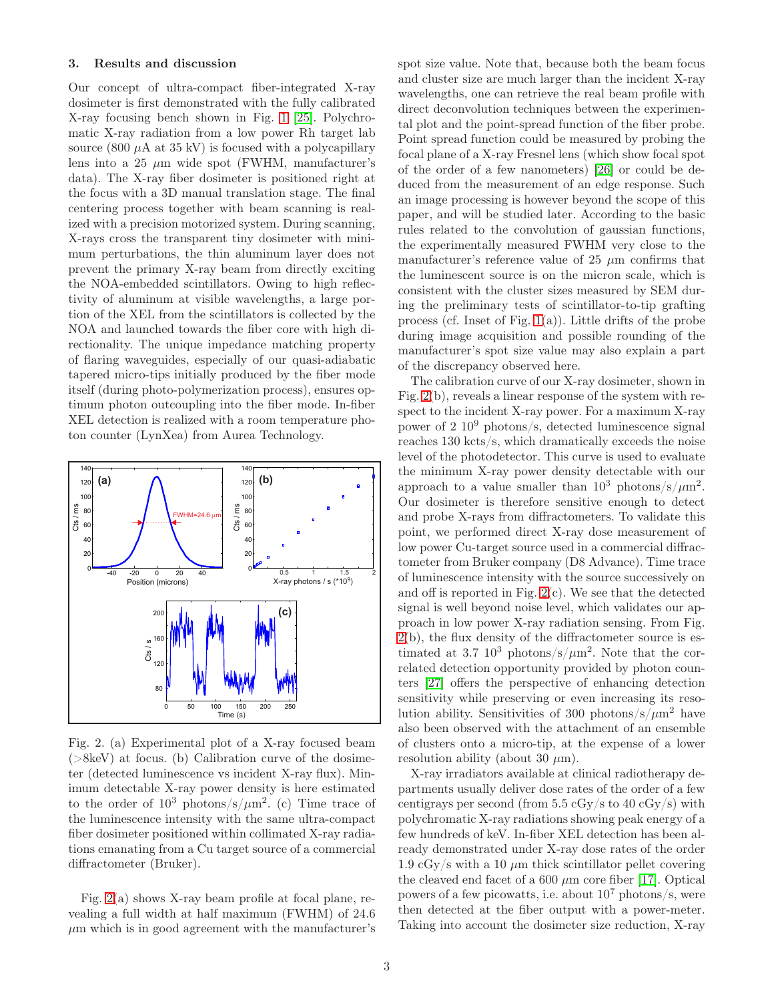### 3. Results and discussion

Our concept of ultra-compact fiber-integrated X-ray dosimeter is first demonstrated with the fully calibrated X-ray focusing bench shown in Fig. [1](#page-1-0) [\[25\]](#page-4-12). Polychromatic X-ray radiation from a low power Rh target lab source (800  $\mu$ A at 35 kV) is focused with a polycapillary lens into a 25  $\mu$ m wide spot (FWHM, manufacturer's data). The X-ray fiber dosimeter is positioned right at the focus with a 3D manual translation stage. The final centering process together with beam scanning is realized with a precision motorized system. During scanning, X-rays cross the transparent tiny dosimeter with minimum perturbations, the thin aluminum layer does not prevent the primary X-ray beam from directly exciting the NOA-embedded scintillators. Owing to high reflectivity of aluminum at visible wavelengths, a large portion of the XEL from the scintillators is collected by the NOA and launched towards the fiber core with high directionality. The unique impedance matching property of flaring waveguides, especially of our quasi-adiabatic tapered micro-tips initially produced by the fiber mode itself (during photo-polymerization process), ensures optimum photon outcoupling into the fiber mode. In-fiber XEL detection is realized with a room temperature photon counter (LynXea) from Aurea Technology.



<span id="page-2-0"></span>Fig. 2. (a) Experimental plot of a X-ray focused beam  $(>\&8k$ eV) at focus. (b) Calibration curve of the dosimeter (detected luminescence vs incident X-ray flux). Minimum detectable X-ray power density is here estimated to the order of  $10^3$  photons/s/ $\mu$ m<sup>2</sup>. (c) Time trace of the luminescence intensity with the same ultra-compact fiber dosimeter positioned within collimated X-ray radiations emanating from a Cu target source of a commercial diffractometer (Bruker).

Fig. [2\(](#page-2-0)a) shows X-ray beam profile at focal plane, revealing a full width at half maximum (FWHM) of 24.6  $\mu$ m which is in good agreement with the manufacturer's spot size value. Note that, because both the beam focus and cluster size are much larger than the incident X-ray wavelengths, one can retrieve the real beam profile with direct deconvolution techniques between the experimental plot and the point-spread function of the fiber probe. Point spread function could be measured by probing the focal plane of a X-ray Fresnel lens (which show focal spot of the order of a few nanometers) [\[26\]](#page-4-13) or could be deduced from the measurement of an edge response. Such an image processing is however beyond the scope of this paper, and will be studied later. According to the basic rules related to the convolution of gaussian functions, the experimentally measured FWHM very close to the manufacturer's reference value of  $25 \mu m$  confirms that the luminescent source is on the micron scale, which is consistent with the cluster sizes measured by SEM during the preliminary tests of scintillator-to-tip grafting process (cf. Inset of Fig. [1\(](#page-1-0)a)). Little drifts of the probe during image acquisition and possible rounding of the manufacturer's spot size value may also explain a part of the discrepancy observed here.

The calibration curve of our X-ray dosimeter, shown in Fig. [2\(](#page-2-0)b), reveals a linear response of the system with respect to the incident X-ray power. For a maximum X-ray power of  $2 \times 10^9$  photons/s, detected luminescence signal reaches 130 kcts/s, which dramatically exceeds the noise level of the photodetector. This curve is used to evaluate the minimum X-ray power density detectable with our approach to a value smaller than  $10^3$  photons/s/ $\mu$ m<sup>2</sup>. Our dosimeter is therefore sensitive enough to detect and probe X-rays from diffractometers. To validate this point, we performed direct X-ray dose measurement of low power Cu-target source used in a commercial diffractometer from Bruker company (D8 Advance). Time trace of luminescence intensity with the source successively on and off is reported in Fig. [2\(](#page-2-0)c). We see that the detected signal is well beyond noise level, which validates our approach in low power X-ray radiation sensing. From Fig.  $2(b)$  $2(b)$ , the flux density of the diffractometer source is estimated at 3.7  $10^3$  photons/s/ $\mu$ m<sup>2</sup>. Note that the correlated detection opportunity provided by photon counters [\[27\]](#page-4-14) offers the perspective of enhancing detection sensitivity while preserving or even increasing its resolution ability. Sensitivities of 300 photons/s/ $\mu$ m<sup>2</sup> have also been observed with the attachment of an ensemble of clusters onto a micro-tip, at the expense of a lower resolution ability (about 30  $\mu$ m).

X-ray irradiators available at clinical radiotherapy departments usually deliver dose rates of the order of a few centigrays per second (from 5.5 cGy/s to 40 cGy/s) with polychromatic X-ray radiations showing peak energy of a few hundreds of keV. In-fiber XEL detection has been already demonstrated under X-ray dose rates of the order 1.9 cGy/s with a 10  $\mu$ m thick scintillator pellet covering the cleaved end facet of a  $600 \ \mu m$  core fiber [\[17\]](#page-4-4). Optical powers of a few picowatts, i.e. about  $10^7$  photons/s, were then detected at the fiber output with a power-meter. Taking into account the dosimeter size reduction, X-ray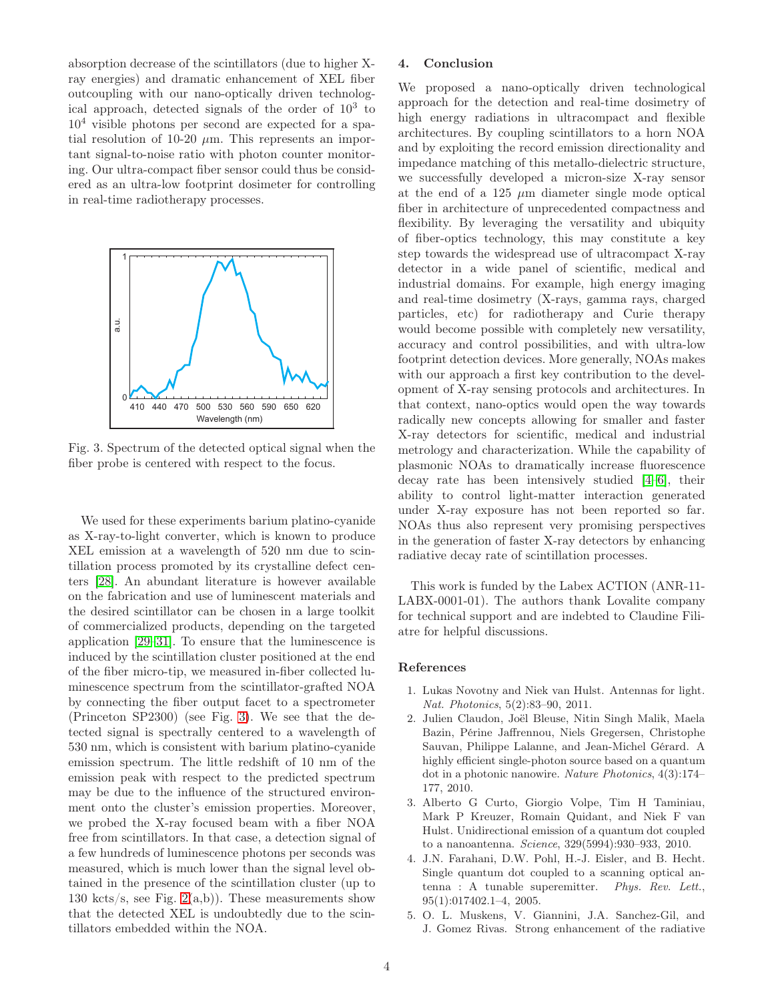absorption decrease of the scintillators (due to higher Xray energies) and dramatic enhancement of XEL fiber outcoupling with our nano-optically driven technological approach, detected signals of the order of  $10^3$  to  $10<sup>4</sup>$  visible photons per second are expected for a spatial resolution of 10-20  $\mu$ m. This represents an important signal-to-noise ratio with photon counter monitoring. Our ultra-compact fiber sensor could thus be considered as an ultra-low footprint dosimeter for controlling in real-time radiotherapy processes.



<span id="page-3-2"></span>Fig. 3. Spectrum of the detected optical signal when the fiber probe is centered with respect to the focus.

We used for these experiments barium platino-cyanide as X-ray-to-light converter, which is known to produce XEL emission at a wavelength of 520 nm due to scintillation process promoted by its crystalline defect centers [\[28\]](#page-4-15). An abundant literature is however available on the fabrication and use of luminescent materials and the desired scintillator can be chosen in a large toolkit of commercialized products, depending on the targeted application [\[29–](#page-4-16)[31\]](#page-4-17). To ensure that the luminescence is induced by the scintillation cluster positioned at the end of the fiber micro-tip, we measured in-fiber collected luminescence spectrum from the scintillator-grafted NOA by connecting the fiber output facet to a spectrometer (Princeton SP2300) (see Fig. [3\)](#page-3-2). We see that the detected signal is spectrally centered to a wavelength of 530 nm, which is consistent with barium platino-cyanide emission spectrum. The little redshift of 10 nm of the emission peak with respect to the predicted spectrum may be due to the influence of the structured environment onto the cluster's emission properties. Moreover, we probed the X-ray focused beam with a fiber NOA free from scintillators. In that case, a detection signal of a few hundreds of luminescence photons per seconds was measured, which is much lower than the signal level obtained in the presence of the scintillation cluster (up to 130 kcts/s, see Fig.  $2(a,b)$ ). These measurements show that the detected XEL is undoubtedly due to the scintillators embedded within the NOA.

## 4. Conclusion

We proposed a nano-optically driven technological approach for the detection and real-time dosimetry of high energy radiations in ultracompact and flexible architectures. By coupling scintillators to a horn NOA and by exploiting the record emission directionality and impedance matching of this metallo-dielectric structure, we successfully developed a micron-size X-ray sensor at the end of a 125  $\mu$ m diameter single mode optical fiber in architecture of unprecedented compactness and flexibility. By leveraging the versatility and ubiquity of fiber-optics technology, this may constitute a key step towards the widespread use of ultracompact X-ray detector in a wide panel of scientific, medical and industrial domains. For example, high energy imaging and real-time dosimetry (X-rays, gamma rays, charged particles, etc) for radiotherapy and Curie therapy would become possible with completely new versatility, accuracy and control possibilities, and with ultra-low footprint detection devices. More generally, NOAs makes with our approach a first key contribution to the development of X-ray sensing protocols and architectures. In that context, nano-optics would open the way towards radically new concepts allowing for smaller and faster X-ray detectors for scientific, medical and industrial metrology and characterization. While the capability of plasmonic NOAs to dramatically increase fluorescence decay rate has been intensively studied [\[4–](#page-3-3)[6\]](#page-4-18), their ability to control light-matter interaction generated under X-ray exposure has not been reported so far. NOAs thus also represent very promising perspectives in the generation of faster X-ray detectors by enhancing radiative decay rate of scintillation processes.

This work is funded by the Labex ACTION (ANR-11- LABX-0001-01). The authors thank Lovalite company for technical support and are indebted to Claudine Filiatre for helpful discussions.

### <span id="page-3-0"></span>References

- 1. Lukas Novotny and Niek van Hulst. Antennas for light. Nat. Photonics, 5(2):83–90, 2011.
- <span id="page-3-1"></span>2. Julien Claudon, Joël Bleuse, Nitin Singh Malik, Maela Bazin, Périne Jaffrennou, Niels Gregersen, Christophe Sauvan, Philippe Lalanne, and Jean-Michel Gérard. A highly efficient single-photon source based on a quantum dot in a photonic nanowire. Nature Photonics, 4(3):174– 177, 2010.
- 3. Alberto G Curto, Giorgio Volpe, Tim H Taminiau, Mark P Kreuzer, Romain Quidant, and Niek F van Hulst. Unidirectional emission of a quantum dot coupled to a nanoantenna. Science, 329(5994):930–933, 2010.
- <span id="page-3-3"></span>4. J.N. Farahani, D.W. Pohl, H.-J. Eisler, and B. Hecht. Single quantum dot coupled to a scanning optical antenna : A tunable superemitter. Phys. Rev. Lett., 95(1):017402.1–4, 2005.
- 5. O. L. Muskens, V. Giannini, J.A. Sanchez-Gil, and J. Gomez Rivas. Strong enhancement of the radiative